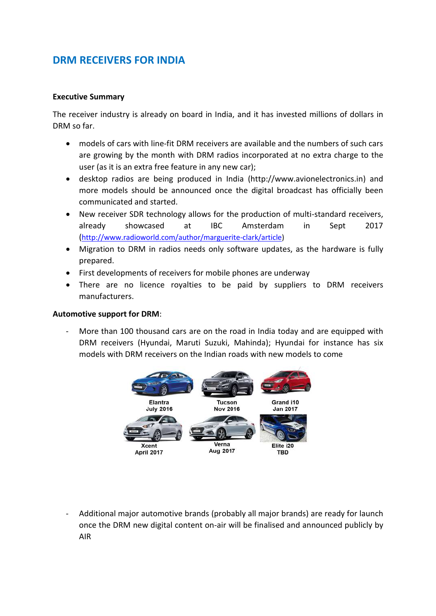# **DRM RECEIVERS FOR INDIA**

## **Executive Summary**

The receiver industry is already on board in India, and it has invested millions of dollars in DRM so far.

- models of cars with line-fit DRM receivers are available and the numbers of such cars are growing by the month with DRM radios incorporated at no extra charge to the user (as it is an extra free feature in any new car);
- desktop radios are being produced in India (http://www.avionelectronics.in) and more models should be announced once the digital broadcast has officially been communicated and started.
- New receiver SDR technology allows for the production of multi-standard receivers, already showcased at IBC Amsterdam in Sept 2017 ([http://www.radioworld.com/author/marguerite-clark/article\)](http://www.radioworld.com/author/marguerite-clark/article)
- Migration to DRM in radios needs only software updates, as the hardware is fully prepared.
- First developments of receivers for mobile phones are underway
- There are no licence royalties to be paid by suppliers to DRM receivers manufacturers.

#### **Automotive support for DRM**:

More than 100 thousand cars are on the road in India today and are equipped with DRM receivers (Hyundai, Maruti Suzuki, Mahinda); Hyundai for instance has six models with DRM receivers on the Indian roads with new models to come



- Additional major automotive brands (probably all major brands) are ready for launch once the DRM new digital content on-air will be finalised and announced publicly by AIR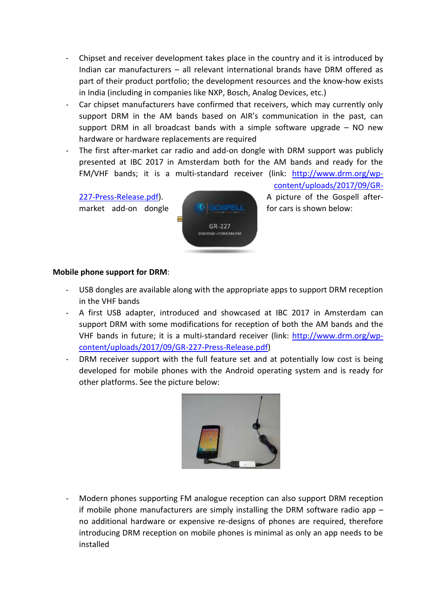- Chipset and receiver development takes place in the country and it is introduced by Indian car manufacturers – all relevant international brands have DRM offered as part of their product portfolio; the development resources and the know-how exists in India (including in companies like NXP, Bosch, Analog Devices, etc.)
- Car chipset manufacturers have confirmed that receivers, which may currently only support DRM in the AM bands based on AIR's communication in the past, can support DRM in all broadcast bands with a simple software upgrade – NO new hardware or hardware replacements are required
- The first after-market car radio and add-on dongle with DRM support was publicly presented at IBC 2017 in Amsterdam both for the AM bands and ready for the FM/VHF bands; it is a multi-standard receiver (link: [http://www.drm.org/wp-](http://www.drm.org/wp-content/uploads/2017/09/GR-227-Press-Release.pdf)



[content/uploads/2017/09/GR-](http://www.drm.org/wp-content/uploads/2017/09/GR-227-Press-Release.pdf)[227-Press-Release.pdf\)](http://www.drm.org/wp-content/uploads/2017/09/GR-227-Press-Release.pdf). A picture of the Gospell aftermarket add-on dongle **for the solution of the cars is shown below:** 

# **Mobile phone support for DRM**:

- USB dongles are available along with the appropriate apps to support DRM reception in the VHF bands
- A first USB adapter, introduced and showcased at IBC 2017 in Amsterdam can support DRM with some modifications for reception of both the AM bands and the VHF bands in future; it is a multi-standard receiver (link: [http://www.drm.org/wp](http://www.drm.org/wp-content/uploads/2017/09/GR-227-Press-Release.pdf)[content/uploads/2017/09/GR-227-Press-Release.pdf\)](http://www.drm.org/wp-content/uploads/2017/09/GR-227-Press-Release.pdf)
- DRM receiver support with the full feature set and at potentially low cost is being developed for mobile phones with the Android operating system and is ready for other platforms. See the picture below:



- Modern phones supporting FM analogue reception can also support DRM reception if mobile phone manufacturers are simply installing the DRM software radio app – no additional hardware or expensive re-designs of phones are required, therefore introducing DRM reception on mobile phones is minimal as only an app needs to be installed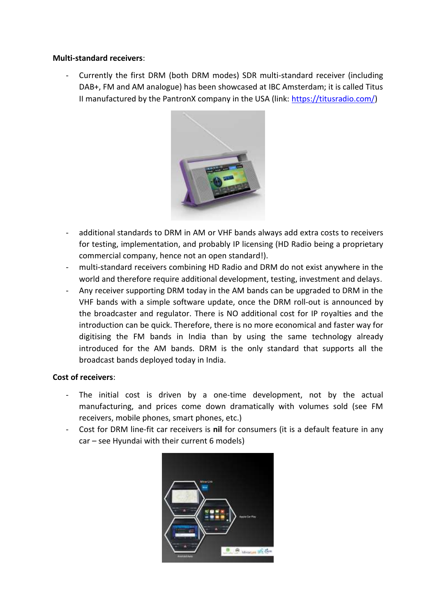#### **Multi-standard receivers**:

Currently the first DRM (both DRM modes) SDR multi-standard receiver (including DAB+, FM and AM analogue) has been showcased at IBC Amsterdam; it is called Titus II manufactured by the PantronX company in the USA (link: [https://titusradio.com/\)](https://titusradio.com/)



- additional standards to DRM in AM or VHF bands always add extra costs to receivers for testing, implementation, and probably IP licensing (HD Radio being a proprietary commercial company, hence not an open standard!).
- multi-standard receivers combining HD Radio and DRM do not exist anywhere in the world and therefore require additional development, testing, investment and delays.
- Any receiver supporting DRM today in the AM bands can be upgraded to DRM in the VHF bands with a simple software update, once the DRM roll-out is announced by the broadcaster and regulator. There is NO additional cost for IP royalties and the introduction can be quick. Therefore, there is no more economical and faster way for digitising the FM bands in India than by using the same technology already introduced for the AM bands. DRM is the only standard that supports all the broadcast bands deployed today in India.

# **Cost of receivers**:

- The initial cost is driven by a one-time development, not by the actual manufacturing, and prices come down dramatically with volumes sold (see FM receivers, mobile phones, smart phones, etc.)
- Cost for DRM line-fit car receivers is **nil** for consumers (it is a default feature in any car – see Hyundai with their current 6 models)

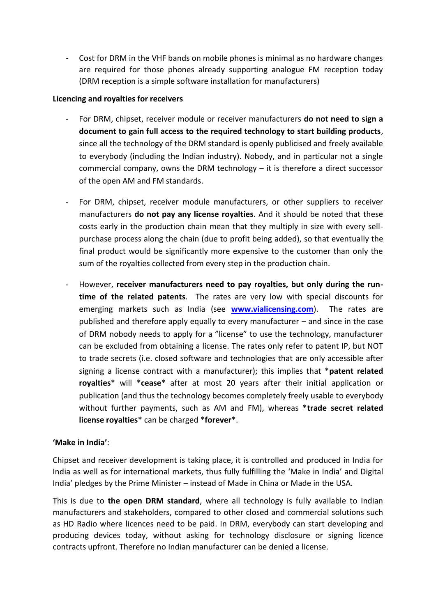- Cost for DRM in the VHF bands on mobile phones is minimal as no hardware changes are required for those phones already supporting analogue FM reception today (DRM reception is a simple software installation for manufacturers)

## **Licencing and royalties for receivers**

- For DRM, chipset, receiver module or receiver manufacturers **do not need to sign a document to gain full access to the required technology to start building products**, since all the technology of the DRM standard is openly publicised and freely available to everybody (including the Indian industry). Nobody, and in particular not a single commercial company, owns the DRM technology – it is therefore a direct successor of the open AM and FM standards.
- For DRM, chipset, receiver module manufacturers, or other suppliers to receiver manufacturers **do not pay any license royalties**. And it should be noted that these costs early in the production chain mean that they multiply in size with every sellpurchase process along the chain (due to profit being added), so that eventually the final product would be significantly more expensive to the customer than only the sum of the royalties collected from every step in the production chain.
- However, **receiver manufacturers need to pay royalties, but only during the runtime of the related patents**. The rates are very low with special discounts for emerging markets such as India (see **[www.vialicensing.com](http://www.vialicensing.com/)**). The rates are published and therefore apply equally to every manufacturer – and since in the case of DRM nobody needs to apply for a "license" to use the technology, manufacturer can be excluded from obtaining a license. The rates only refer to patent IP, but NOT to trade secrets (i.e. closed software and technologies that are only accessible after signing a license contract with a manufacturer); this implies that \***patent related royalties**\* will \***cease**\* after at most 20 years after their initial application or publication (and thus the technology becomes completely freely usable to everybody without further payments, such as AM and FM), whereas \***trade secret related license royalties**\* can be charged \***forever**\*.

# **'Make in India'**:

Chipset and receiver development is taking place, it is controlled and produced in India for India as well as for international markets, thus fully fulfilling the 'Make in India' and Digital India' pledges by the Prime Minister – instead of Made in China or Made in the USA.

This is due to **the open DRM standard**, where all technology is fully available to Indian manufacturers and stakeholders, compared to other closed and commercial solutions such as HD Radio where licences need to be paid. In DRM, everybody can start developing and producing devices today, without asking for technology disclosure or signing licence contracts upfront. Therefore no Indian manufacturer can be denied a license.